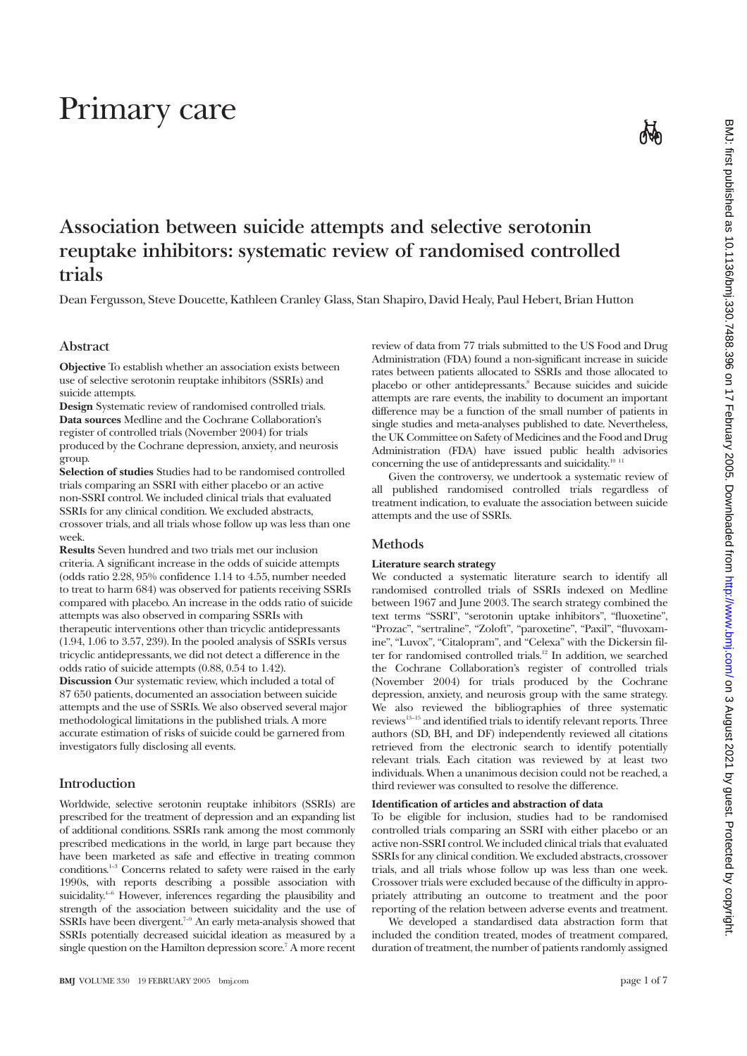# Primary care

# **Association between suicide attempts and selective serotonin reuptake inhibitors: systematic review of randomised controlled trials**

Dean Fergusson, Steve Doucette, Kathleen Cranley Glass, Stan Shapiro, David Healy, Paul Hebert, Brian Hutton

# **Abstract**

**Objective** To establish whether an association exists between use of selective serotonin reuptake inhibitors (SSRIs) and suicide attempts.

**Design** Systematic review of randomised controlled trials. **Data sources** Medline and the Cochrane Collaboration's register of controlled trials (November 2004) for trials produced by the Cochrane depression, anxiety, and neurosis group.

**Selection of studies** Studies had to be randomised controlled trials comparing an SSRI with either placebo or an active non-SSRI control. We included clinical trials that evaluated SSRIs for any clinical condition. We excluded abstracts, crossover trials, and all trials whose follow up was less than one week.

**Results** Seven hundred and two trials met our inclusion criteria. A significant increase in the odds of suicide attempts (odds ratio 2.28, 95% confidence 1.14 to 4.55, number needed to treat to harm 684) was observed for patients receiving SSRIs compared with placebo. An increase in the odds ratio of suicide attempts was also observed in comparing SSRIs with therapeutic interventions other than tricyclic antidepressants (1.94, 1.06 to 3.57, 239). In the pooled analysis of SSRIs versus tricyclic antidepressants, we did not detect a difference in the odds ratio of suicide attempts (0.88, 0.54 to 1.42).

**Discussion** Our systematic review, which included a total of 87 650 patients, documented an association between suicide attempts and the use of SSRIs. We also observed several major methodological limitations in the published trials. A more accurate estimation of risks of suicide could be garnered from investigators fully disclosing all events.

## **Introduction**

Worldwide, selective serotonin reuptake inhibitors (SSRIs) are prescribed for the treatment of depression and an expanding list of additional conditions. SSRIs rank among the most commonly prescribed medications in the world, in large part because they have been marketed as safe and effective in treating common conditions.1–3 Concerns related to safety were raised in the early 1990s, with reports describing a possible association with suicidality.<sup>4-6</sup> However, inferences regarding the plausibility and strength of the association between suicidality and the use of SSRIs have been divergent.<sup>7-9</sup> An early meta-analysis showed that SSRIs potentially decreased suicidal ideation as measured by a single question on the Hamilton depression score.7 A more recent review of data from 77 trials submitted to the US Food and Drug Administration (FDA) found a non-significant increase in suicide rates between patients allocated to SSRIs and those allocated to placebo or other antidepressants.8 Because suicides and suicide attempts are rare events, the inability to document an important difference may be a function of the small number of patients in single studies and meta-analyses published to date. Nevertheless, the UK Committee on Safety of Medicines and the Food and Drug Administration (FDA) have issued public health advisories concerning the use of antidepressants and suicidality.<sup>10 11</sup>

Given the controversy, we undertook a systematic review of all published randomised controlled trials regardless of treatment indication, to evaluate the association between suicide attempts and the use of SSRIs.

# **Methods**

#### **Literature search strategy**

We conducted a systematic literature search to identify all randomised controlled trials of SSRIs indexed on Medline between 1967 and June 2003. The search strategy combined the text terms "SSRI", "serotonin uptake inhibitors", "fluoxetine", "Prozac", "sertraline", "Zoloft", "paroxetine", "Paxil", "fluvoxamine", "Luvox", "Citalopram", and "Celexa" with the Dickersin filter for randomised controlled trials.<sup>12</sup> In addition, we searched the Cochrane Collaboration's register of controlled trials (November 2004) for trials produced by the Cochrane depression, anxiety, and neurosis group with the same strategy. We also reviewed the bibliographies of three systematic reviews<sup>13-15</sup> and identified trials to identify relevant reports. Three authors (SD, BH, and DF) independently reviewed all citations retrieved from the electronic search to identify potentially relevant trials. Each citation was reviewed by at least two individuals. When a unanimous decision could not be reached, a third reviewer was consulted to resolve the difference.

### **Identification of articles and abstraction of data**

To be eligible for inclusion, studies had to be randomised controlled trials comparing an SSRI with either placebo or an active non-SSRI control. We included clinical trials that evaluated SSRIs for any clinical condition. We excluded abstracts, crossover trials, and all trials whose follow up was less than one week. Crossover trials were excluded because of the difficulty in appropriately attributing an outcome to treatment and the poor reporting of the relation between adverse events and treatment.

We developed a standardised data abstraction form that included the condition treated, modes of treatment compared, duration of treatment, the number of patients randomly assigned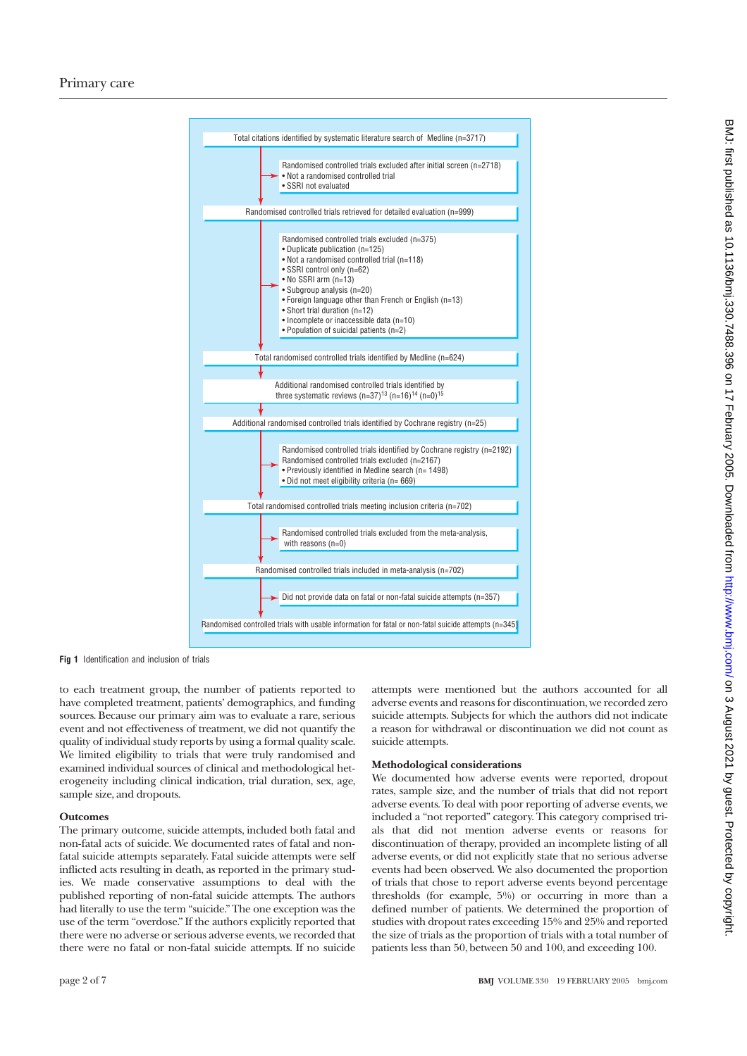

**Fig 1** Identification and inclusion of trials

to each treatment group, the number of patients reported to have completed treatment, patients' demographics, and funding sources. Because our primary aim was to evaluate a rare, serious event and not effectiveness of treatment, we did not quantify the quality of individual study reports by using a formal quality scale. We limited eligibility to trials that were truly randomised and examined individual sources of clinical and methodological heterogeneity including clinical indication, trial duration, sex, age, sample size, and dropouts.

#### **Outcomes**

The primary outcome, suicide attempts, included both fatal and non-fatal acts of suicide. We documented rates of fatal and nonfatal suicide attempts separately. Fatal suicide attempts were self inflicted acts resulting in death, as reported in the primary studies. We made conservative assumptions to deal with the published reporting of non-fatal suicide attempts. The authors had literally to use the term "suicide." The one exception was the use of the term "overdose." If the authors explicitly reported that there were no adverse or serious adverse events, we recorded that there were no fatal or non-fatal suicide attempts. If no suicide attempts were mentioned but the authors accounted for all adverse events and reasons for discontinuation, we recorded zero suicide attempts. Subjects for which the authors did not indicate a reason for withdrawal or discontinuation we did not count as suicide attempts.

#### **Methodological considerations**

We documented how adverse events were reported, dropout rates, sample size, and the number of trials that did not report adverse events. To deal with poor reporting of adverse events, we included a "not reported" category. This category comprised trials that did not mention adverse events or reasons for discontinuation of therapy, provided an incomplete listing of all adverse events, or did not explicitly state that no serious adverse events had been observed. We also documented the proportion of trials that chose to report adverse events beyond percentage thresholds (for example, 5%) or occurring in more than a defined number of patients. We determined the proportion of studies with dropout rates exceeding 15% and 25% and reported the size of trials as the proportion of trials with a total number of patients less than 50, between 50 and 100, and exceeding 100.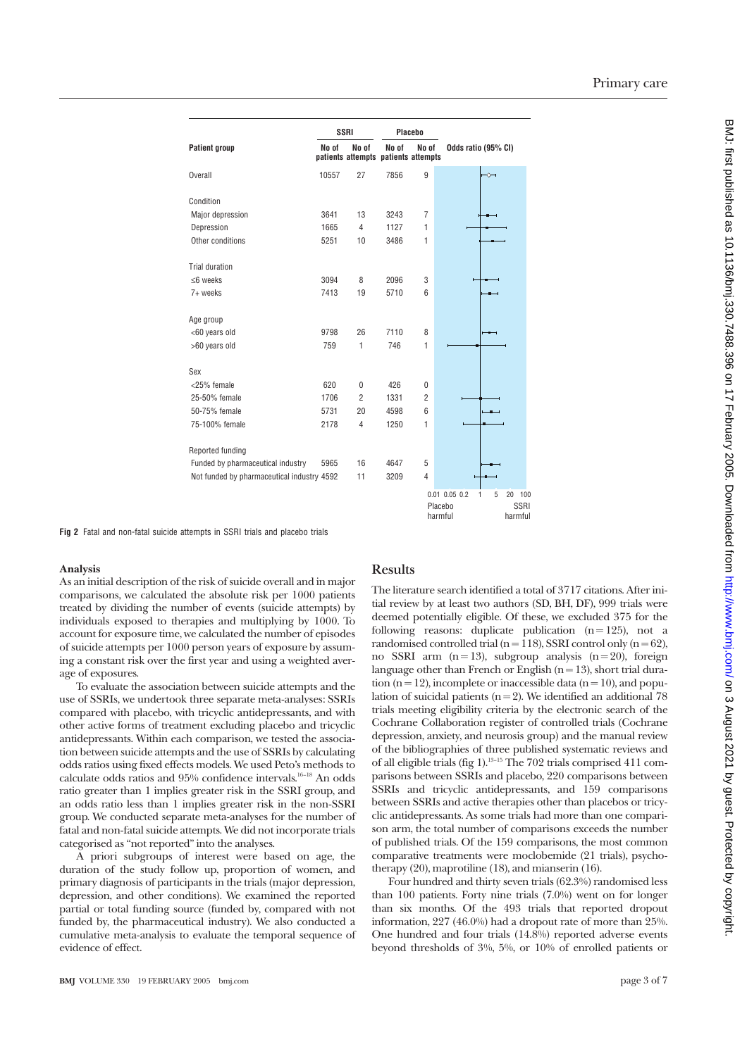|                                            |       | <b>SSRI</b>                                  |       | Placebo        |                     |  |  |
|--------------------------------------------|-------|----------------------------------------------|-------|----------------|---------------------|--|--|
| <b>Patient group</b>                       | No of | No of<br>patients attempts patients attempts | No of | No of          | Odds ratio (95% CI) |  |  |
| Overall                                    | 10557 | 27                                           | 7856  | 9              | ♦                   |  |  |
| Condition                                  |       |                                              |       |                |                     |  |  |
| Major depression                           | 3641  | 13                                           | 3243  | 7              |                     |  |  |
| Depression                                 | 1665  | $\overline{4}$                               | 1127  | 1              |                     |  |  |
| Other conditions                           | 5251  | 10                                           | 3486  | 1              |                     |  |  |
| <b>Trial duration</b>                      |       |                                              |       |                |                     |  |  |
| $\leq$ 6 weeks                             | 3094  | 8                                            | 2096  | 3              |                     |  |  |
| 7+ weeks                                   | 7413  | 19                                           | 5710  | 6              |                     |  |  |
| Age group                                  |       |                                              |       |                |                     |  |  |
| <60 years old                              | 9798  | 26                                           | 7110  | 8              |                     |  |  |
| >60 years old                              | 759   | 1                                            | 746   | 1              |                     |  |  |
| Sex                                        |       |                                              |       |                |                     |  |  |
| <25% female                                | 620   | $\mathbf{0}$                                 | 426   | $\mathbf 0$    |                     |  |  |
| 25-50% female                              | 1706  | $\overline{2}$                               | 1331  | $\overline{2}$ |                     |  |  |
| 50-75% female                              | 5731  | 20                                           | 4598  | 6              |                     |  |  |
| 75-100% female                             | 2178  | 4                                            | 1250  | 1              |                     |  |  |
| Reported funding                           |       |                                              |       |                |                     |  |  |
| Funded by pharmaceutical industry          | 5965  | 16                                           | 4647  | 5              |                     |  |  |
| Not funded by pharmaceutical industry 4592 |       | 11                                           | 3209  | $\overline{4}$ |                     |  |  |

**Fig 2** Fatal and non-fatal suicide attempts in SSRI trials and placebo trials

#### **Analysis**

As an initial description of the risk of suicide overall and in major comparisons, we calculated the absolute risk per 1000 patients treated by dividing the number of events (suicide attempts) by individuals exposed to therapies and multiplying by 1000. To account for exposure time, we calculated the number of episodes of suicide attempts per 1000 person years of exposure by assuming a constant risk over the first year and using a weighted average of exposures.

To evaluate the association between suicide attempts and the use of SSRIs, we undertook three separate meta-analyses: SSRIs compared with placebo, with tricyclic antidepressants, and with other active forms of treatment excluding placebo and tricyclic antidepressants. Within each comparison, we tested the association between suicide attempts and the use of SSRIs by calculating odds ratios using fixed effects models. We used Peto's methods to calculate odds ratios and 95% confidence intervals.16–18 An odds ratio greater than 1 implies greater risk in the SSRI group, and an odds ratio less than 1 implies greater risk in the non-SSRI group. We conducted separate meta-analyses for the number of fatal and non-fatal suicide attempts. We did not incorporate trials categorised as "not reported" into the analyses.

A priori subgroups of interest were based on age, the duration of the study follow up, proportion of women, and primary diagnosis of participants in the trials (major depression, depression, and other conditions). We examined the reported partial or total funding source (funded by, compared with not funded by, the pharmaceutical industry). We also conducted a cumulative meta-analysis to evaluate the temporal sequence of evidence of effect.

# **Results**

Placebo harmful

The literature search identified a total of 3717 citations. After initial review by at least two authors (SD, BH, DF), 999 trials were deemed potentially eligible. Of these, we excluded 375 for the following reasons: duplicate publication  $(n = 125)$ , not a randomised controlled trial ( $n = 118$ ), SSRI control only ( $n = 62$ ), no SSRI arm  $(n=13)$ , subgroup analysis  $(n=20)$ , foreign language other than French or English ( $n = 13$ ), short trial duration ( $n = 12$ ), incomplete or inaccessible data ( $n = 10$ ), and population of suicidal patients ( $n = 2$ ). We identified an additional 78 trials meeting eligibility criteria by the electronic search of the Cochrane Collaboration register of controlled trials (Cochrane depression, anxiety, and neurosis group) and the manual review of the bibliographies of three published systematic reviews and of all eligible trials (fig 1).13–15 The 702 trials comprised 411 comparisons between SSRIs and placebo, 220 comparisons between SSRIs and tricyclic antidepressants, and 159 comparisons between SSRIs and active therapies other than placebos or tricyclic antidepressants. As some trials had more than one comparison arm, the total number of comparisons exceeds the number of published trials. Of the 159 comparisons, the most common comparative treatments were moclobemide (21 trials), psychotherapy (20), maprotiline (18), and mianserin (16).

**SSRI** harmful

Four hundred and thirty seven trials (62.3%) randomised less than 100 patients. Forty nine trials (7.0%) went on for longer than six months. Of the 493 trials that reported dropout information, 227 (46.0%) had a dropout rate of more than 25%. One hundred and four trials (14.8%) reported adverse events beyond thresholds of 3%, 5%, or 10% of enrolled patients or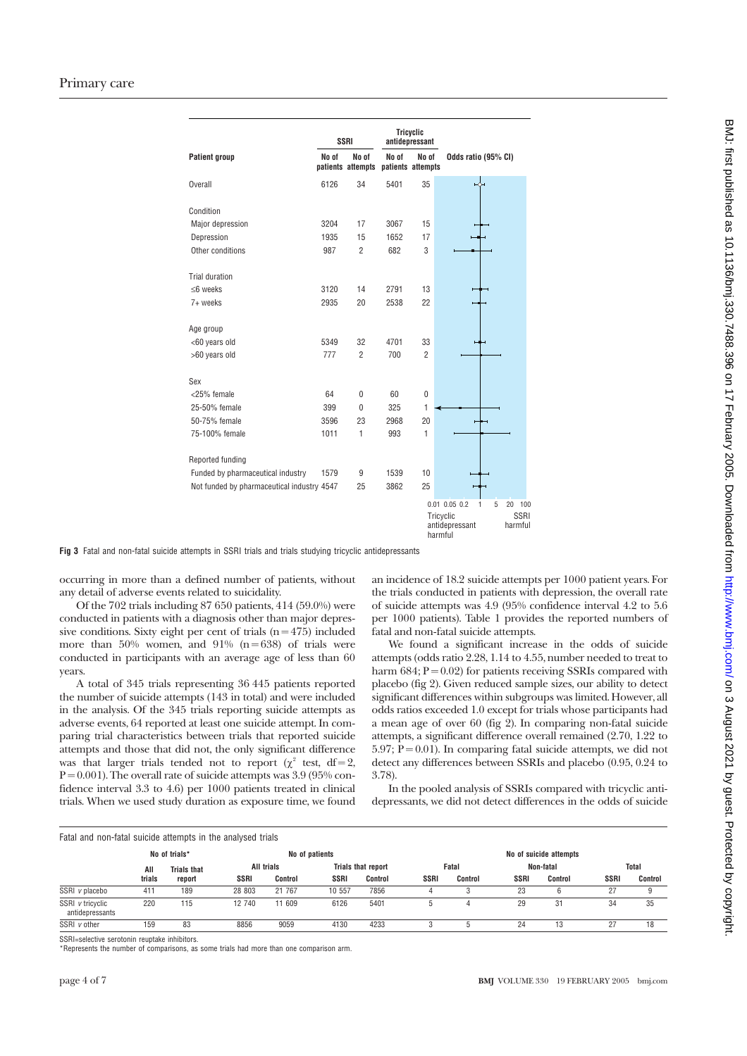|                                            |       | <b>SSRI</b>                                  |       | <b>Tricyclic</b><br>antidepressant |                                          |                        |  |
|--------------------------------------------|-------|----------------------------------------------|-------|------------------------------------|------------------------------------------|------------------------|--|
| <b>Patient group</b>                       | No of | No of<br>patients attempts patients attempts | No of | No of                              | Odds ratio (95% CI)                      |                        |  |
| Overall                                    | 6126  | 34                                           | 5401  | 35                                 |                                          |                        |  |
| Condition                                  |       |                                              |       |                                    |                                          |                        |  |
| Major depression                           | 3204  | 17                                           | 3067  | 15                                 |                                          |                        |  |
| Depression                                 | 1935  | 15                                           | 1652  | 17                                 |                                          |                        |  |
| Other conditions                           | 987   | $\overline{c}$                               | 682   | 3                                  |                                          |                        |  |
| <b>Trial duration</b>                      |       |                                              |       |                                    |                                          |                        |  |
| <6 weeks                                   | 3120  | 14                                           | 2791  | 13                                 |                                          |                        |  |
| 7+ weeks                                   | 2935  | 20                                           | 2538  | 22                                 |                                          |                        |  |
| Age group                                  |       |                                              |       |                                    |                                          |                        |  |
| <60 years old                              | 5349  | 32                                           | 4701  | 33                                 |                                          |                        |  |
| >60 years old                              | 777   | $\overline{2}$                               | 700   | $\overline{2}$                     |                                          |                        |  |
| Sex                                        |       |                                              |       |                                    |                                          |                        |  |
| <25% female                                | 64    | $\mathbf{0}$                                 | 60    | $\overline{0}$                     |                                          |                        |  |
| 25-50% female                              | 399   | $\mathbf{0}$                                 | 325   | 1                                  |                                          |                        |  |
| 50-75% female                              | 3596  | 23                                           | 2968  | 20                                 |                                          |                        |  |
| 75-100% female                             | 1011  | $\mathbf{1}$                                 | 993   | $\mathbf{1}$                       |                                          |                        |  |
| Reported funding                           |       |                                              |       |                                    |                                          |                        |  |
| Funded by pharmaceutical industry          | 1579  | 9                                            | 1539  | 10                                 |                                          |                        |  |
| Not funded by pharmaceutical industry 4547 |       | 25                                           | 3862  | 25                                 |                                          |                        |  |
|                                            |       |                                              |       |                                    | $0.01$ $0.05$ $0.2$<br>5<br>$\mathbf{1}$ | 20<br>100              |  |
|                                            |       |                                              |       |                                    | Tricyclic<br>antidepressant<br>harmful   | <b>SSRI</b><br>harmful |  |

**Fig 3** Fatal and non-fatal suicide attempts in SSRI trials and trials studying tricyclic antidepressants

occurring in more than a defined number of patients, without any detail of adverse events related to suicidality.

Of the 702 trials including 87 650 patients, 414 (59.0%) were conducted in patients with a diagnosis other than major depressive conditions. Sixty eight per cent of trials  $(n = 475)$  included more than 50% women, and 91%  $(n=638)$  of trials were conducted in participants with an average age of less than 60 years.

A total of 345 trials representing 36 445 patients reported the number of suicide attempts (143 in total) and were included in the analysis. Of the 345 trials reporting suicide attempts as adverse events, 64 reported at least one suicide attempt. In comparing trial characteristics between trials that reported suicide attempts and those that did not, the only significant difference was that larger trials tended not to report ( $\chi^2$  test, df = 2,  $P = 0.001$ ). The overall rate of suicide attempts was 3.9 (95% confidence interval 3.3 to 4.6) per 1000 patients treated in clinical trials. When we used study duration as exposure time, we found

Fatal and non-fatal suicide attempts in the analysed trials

an incidence of 18.2 suicide attempts per 1000 patient years. For the trials conducted in patients with depression, the overall rate of suicide attempts was 4.9 (95% confidence interval 4.2 to 5.6 per 1000 patients). Table 1 provides the reported numbers of fatal and non-fatal suicide attempts.

We found a significant increase in the odds of suicide attempts (odds ratio 2.28, 1.14 to 4.55, number needed to treat to harm  $684$ ;  $P = 0.02$ ) for patients receiving SSRIs compared with placebo (fig 2). Given reduced sample sizes, our ability to detect significant differences within subgroups was limited. However, all odds ratios exceeded 1.0 except for trials whose participants had a mean age of over 60 (fig  $2$ ). In comparing non-fatal suicide attempts, a significant difference overall remained (2.70, 1.22 to 5.97;  $\hat{P} = 0.01$ ). In comparing fatal suicide attempts, we did not detect any differences between SSRIs and placebo (0.95, 0.24 to 3.78).

In the pooled analysis of SSRIs compared with tricyclic antidepressants, we did not detect differences in the odds of suicide

| i didi dilu livil-ididi sulgiut dittilipis III liit dildiystu liidis |               |                    |        |                |             |                    |             |                        |             |           |      |              |  |  |
|----------------------------------------------------------------------|---------------|--------------------|--------|----------------|-------------|--------------------|-------------|------------------------|-------------|-----------|------|--------------|--|--|
|                                                                      | No of trials* |                    |        | No of patients |             |                    |             | No of suicide attempts |             |           |      |              |  |  |
|                                                                      | All           | <b>Trials that</b> |        | All trials     |             | Trials that report |             | Fatal                  |             | Non-fatal |      | <b>Total</b> |  |  |
|                                                                      | trials        | report             | SSRI   | Control        | <b>SSRI</b> | Control            | <b>SSRI</b> | Control                | <b>SSRI</b> | Control   | SSRI | Control      |  |  |
| SSRI v placebo                                                       | 411           | 189                | 28 803 | 21 767         | 10 557      | 7856               |             |                        | 23          | 6         | 27   |              |  |  |
| SSRI v tricyclic<br>antidepressants                                  | 220           | 115                | 12 740 | 11 609         | 6126        | 5401               |             |                        | 29          | 31        | 34   | 35           |  |  |
| SSRI v other                                                         | 159           | 83                 | 8856   | 9059           | 4130        | 4233               |             |                        | 24          | 13        | 27   | 18           |  |  |

SSRI=selective serotonin reuptake inhibitors.

\*Represents the number of comparisons, as some trials had more than one comparison arm.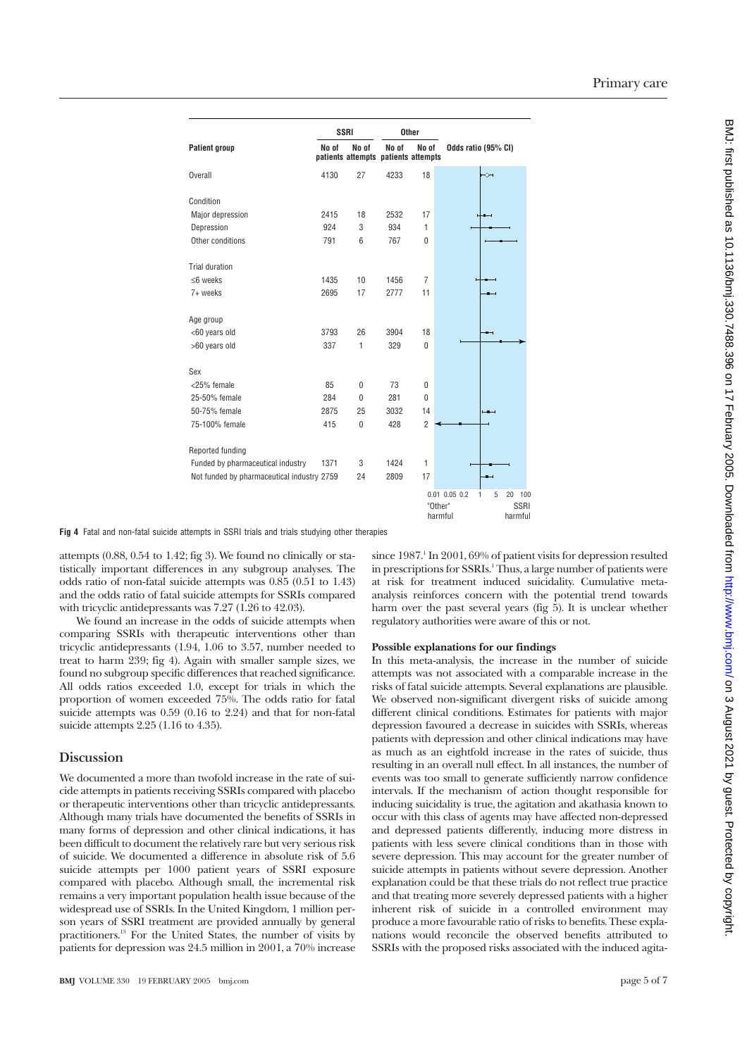|                                            |       | <b>SSRI</b>                                  |       | <b>Other</b>   | Odds ratio (95% CI)                                       |  |  |
|--------------------------------------------|-------|----------------------------------------------|-------|----------------|-----------------------------------------------------------|--|--|
| <b>Patient group</b>                       | No of | No of<br>patients attempts patients attempts | No of | No of          |                                                           |  |  |
| Overall                                    | 4130  | 27                                           | 4233  | 18             | $\sim$                                                    |  |  |
| Condition                                  |       |                                              |       |                |                                                           |  |  |
| Major depression                           | 2415  | 18                                           | 2532  | 17             |                                                           |  |  |
| Depression                                 | 924   | 3                                            | 934   | 1              |                                                           |  |  |
| Other conditions                           | 791   | 6                                            | 767   | $\mathbf{0}$   |                                                           |  |  |
| <b>Trial duration</b>                      |       |                                              |       |                |                                                           |  |  |
| <6 weeks                                   | 1435  | 10                                           | 1456  | $\overline{7}$ |                                                           |  |  |
| 7+ weeks                                   | 2695  | 17                                           | 2777  | 11             |                                                           |  |  |
| Age group                                  |       |                                              |       |                |                                                           |  |  |
| <60 years old                              | 3793  | 26                                           | 3904  | 18             |                                                           |  |  |
| >60 years old                              | 337   | $\mathbf{1}$                                 | 329   | $\mathbf 0$    |                                                           |  |  |
| Sex                                        |       |                                              |       |                |                                                           |  |  |
| <25% female                                | 85    | 0                                            | 73    | $\mathbf 0$    |                                                           |  |  |
| 25-50% female                              | 284   | 0                                            | 281   | $\mathbf 0$    |                                                           |  |  |
| 50-75% female                              | 2875  | 25                                           | 3032  | 14             |                                                           |  |  |
| 75-100% female                             | 415   | 0                                            | 428   | $\overline{c}$ |                                                           |  |  |
| Reported funding                           |       |                                              |       |                |                                                           |  |  |
| Funded by pharmaceutical industry          | 1371  | 3                                            | 1424  | $\mathbf{1}$   |                                                           |  |  |
| Not funded by pharmaceutical industry 2759 |       | 24                                           | 2809  | 17             |                                                           |  |  |
|                                            |       |                                              |       | "Other"        | $0.01$ $0.05$ $0.2$<br>5<br>20<br>100<br>1<br><b>SSRI</b> |  |  |

**Fig 4** Fatal and non-fatal suicide attempts in SSRI trials and trials studying other therapies

attempts (0.88, 0.54 to 1.42; fig 3). We found no clinically or statistically important differences in any subgroup analyses. The odds ratio of non-fatal suicide attempts was 0.85 (0.51 to 1.43) and the odds ratio of fatal suicide attempts for SSRIs compared with tricyclic antidepressants was 7.27 (1.26 to 42.03).

We found an increase in the odds of suicide attempts when comparing SSRIs with therapeutic interventions other than tricyclic antidepressants (1.94, 1.06 to 3.57, number needed to treat to harm 239; fig 4). Again with smaller sample sizes, we found no subgroup specific differences that reached significance. All odds ratios exceeded 1.0, except for trials in which the proportion of women exceeded 75%. The odds ratio for fatal suicide attempts was 0.59 (0.16 to 2.24) and that for non-fatal suicide attempts 2.25 (1.16 to 4.35).

# **Discussion**

We documented a more than twofold increase in the rate of suicide attempts in patients receiving SSRIs compared with placebo or therapeutic interventions other than tricyclic antidepressants. Although many trials have documented the benefits of SSRIs in many forms of depression and other clinical indications, it has been difficult to document the relatively rare but very serious risk of suicide. We documented a difference in absolute risk of 5.6 suicide attempts per 1000 patient years of SSRI exposure compared with placebo. Although small, the incremental risk remains a very important population health issue because of the widespread use of SSRIs. In the United Kingdom, 1 million person years of SSRI treatment are provided annually by general practitioners.<sup>13</sup> For the United States, the number of visits by patients for depression was 24.5 million in 2001, a 70% increase

since 1987.<sup>1</sup> In 2001, 69% of patient visits for depression resulted in prescriptions for SSRIs.<sup>1</sup> Thus, a large number of patients were at risk for treatment induced suicidality. Cumulative metaanalysis reinforces concern with the potential trend towards harm over the past several years (fig 5). It is unclear whether regulatory authorities were aware of this or not.

#### **Possible explanations for our findings**

In this meta-analysis, the increase in the number of suicide attempts was not associated with a comparable increase in the risks of fatal suicide attempts. Several explanations are plausible. We observed non-significant divergent risks of suicide among different clinical conditions. Estimates for patients with major depression favoured a decrease in suicides with SSRIs, whereas patients with depression and other clinical indications may have as much as an eightfold increase in the rates of suicide, thus resulting in an overall null effect. In all instances, the number of events was too small to generate sufficiently narrow confidence intervals. If the mechanism of action thought responsible for inducing suicidality is true, the agitation and akathasia known to occur with this class of agents may have affected non-depressed and depressed patients differently, inducing more distress in patients with less severe clinical conditions than in those with severe depression. This may account for the greater number of suicide attempts in patients without severe depression. Another explanation could be that these trials do not reflect true practice and that treating more severely depressed patients with a higher inherent risk of suicide in a controlled environment may produce a more favourable ratio of risks to benefits. These explanations would reconcile the observed benefits attributed to SSRIs with the proposed risks associated with the induced agita-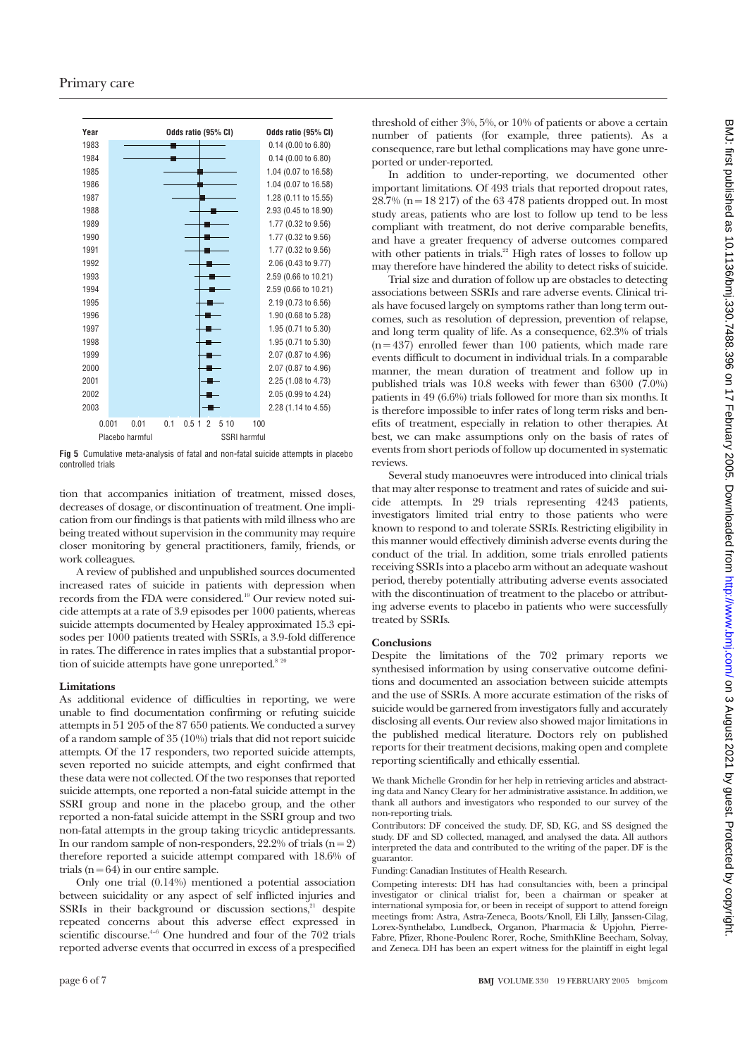

**Fig 5** Cumulative meta-analysis of fatal and non-fatal suicide attempts in placebo controlled trials

tion that accompanies initiation of treatment, missed doses, decreases of dosage, or discontinuation of treatment. One implication from our findings is that patients with mild illness who are being treated without supervision in the community may require closer monitoring by general practitioners, family, friends, or work colleagues.

A review of published and unpublished sources documented increased rates of suicide in patients with depression when records from the FDA were considered.19 Our review noted suicide attempts at a rate of 3.9 episodes per 1000 patients, whereas suicide attempts documented by Healey approximated 15.3 episodes per 1000 patients treated with SSRIs, a 3.9-fold difference in rates. The difference in rates implies that a substantial proportion of suicide attempts have gone unreported.<sup>8 20</sup>

#### **Limitations**

As additional evidence of difficulties in reporting, we were unable to find documentation confirming or refuting suicide attempts in 51 205 of the 87 650 patients. We conducted a survey of a random sample of 35 (10%) trials that did not report suicide attempts. Of the 17 responders, two reported suicide attempts, seven reported no suicide attempts, and eight confirmed that these data were not collected. Of the two responses that reported suicide attempts, one reported a non-fatal suicide attempt in the SSRI group and none in the placebo group, and the other reported a non-fatal suicide attempt in the SSRI group and two non-fatal attempts in the group taking tricyclic antidepressants. In our random sample of non-responders,  $22.2\%$  of trials (n = 2) therefore reported a suicide attempt compared with 18.6% of trials ( $n = 64$ ) in our entire sample.

Only one trial (0.14%) mentioned a potential association between suicidality or any aspect of self inflicted injuries and SSRIs in their background or discussion sections, $21$  despite repeated concerns about this adverse effect expressed in scientific discourse. $4-6$  One hundred and four of the 702 trials reported adverse events that occurred in excess of a prespecified threshold of either 3%, 5%, or 10% of patients or above a certain number of patients (for example, three patients). As a consequence, rare but lethal complications may have gone unreported or under-reported.

In addition to under-reporting, we documented other important limitations. Of 493 trials that reported dropout rates,  $28.7\%$  (n = 18 217) of the 63 478 patients dropped out. In most study areas, patients who are lost to follow up tend to be less compliant with treatment, do not derive comparable benefits, and have a greater frequency of adverse outcomes compared with other patients in trials.<sup>22</sup> High rates of losses to follow up may therefore have hindered the ability to detect risks of suicide.

Trial size and duration of follow up are obstacles to detecting associations between SSRIs and rare adverse events. Clinical trials have focused largely on symptoms rather than long term outcomes, such as resolution of depression, prevention of relapse, and long term quality of life. As a consequence, 62.3% of trials  $(n=437)$  enrolled fewer than 100 patients, which made rare events difficult to document in individual trials. In a comparable manner, the mean duration of treatment and follow up in published trials was 10.8 weeks with fewer than 6300 (7.0%) patients in 49 (6.6%) trials followed for more than six months. It is therefore impossible to infer rates of long term risks and benefits of treatment, especially in relation to other therapies. At best, we can make assumptions only on the basis of rates of events from short periods of follow up documented in systematic reviews.

Several study manoeuvres were introduced into clinical trials that may alter response to treatment and rates of suicide and suicide attempts. In 29 trials representing 4243 patients, investigators limited trial entry to those patients who were known to respond to and tolerate SSRIs. Restricting eligibility in this manner would effectively diminish adverse events during the conduct of the trial. In addition, some trials enrolled patients receiving SSRIs into a placebo arm without an adequate washout period, thereby potentially attributing adverse events associated with the discontinuation of treatment to the placebo or attributing adverse events to placebo in patients who were successfully treated by SSRIs.

#### **Conclusions**

Despite the limitations of the 702 primary reports we synthesised information by using conservative outcome definitions and documented an association between suicide attempts and the use of SSRIs. A more accurate estimation of the risks of suicide would be garnered from investigators fully and accurately disclosing all events. Our review also showed major limitations in the published medical literature. Doctors rely on published reports for their treatment decisions, making open and complete reporting scientifically and ethically essential.

We thank Michelle Grondin for her help in retrieving articles and abstracting data and Nancy Cleary for her administrative assistance. In addition, we thank all authors and investigators who responded to our survey of the non-reporting trials.

Contributors: DF conceived the study. DF, SD, KG, and SS designed the study. DF and SD collected, managed, and analysed the data. All authors interpreted the data and contributed to the writing of the paper. DF is the guarantor.

Funding: Canadian Institutes of Health Research.

Competing interests: DH has had consultancies with, been a principal investigator or clinical trialist for, been a chairman or speaker at international symposia for, or been in receipt of support to attend foreign meetings from: Astra, Astra-Zeneca, Boots/Knoll, Eli Lilly, Janssen-Cilag, Lorex-Synthelabo, Lundbeck, Organon, Pharmacia & Upjohn, Pierre-Fabre, Pfizer, Rhone-Poulenc Rorer, Roche, SmithKline Beecham, Solvay, and Zeneca. DH has been an expert witness for the plaintiff in eight legal